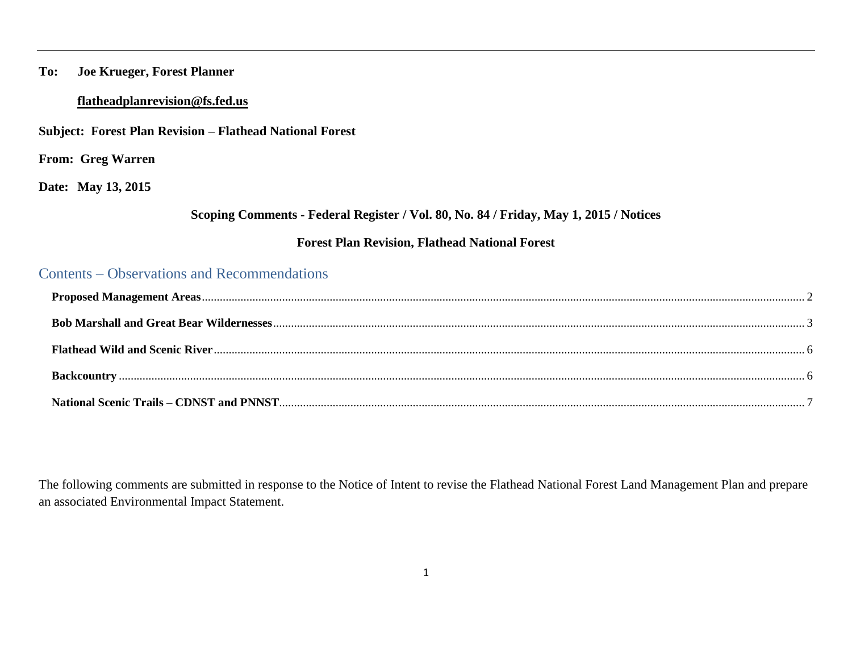### **To: Joe Krueger, Forest Planner**

### **[flatheadplanrevision@fs.fed.us](mailto:flatheadplanrevision@fs.fed.us)**

**Subject: Forest Plan Revision – Flathead National Forest**

**From: Greg Warren** 

**Date: May 13, 2015**

### **Scoping Comments - Federal Register / Vol. 80, No. 84 / Friday, May 1, 2015 / Notices**

### **Forest Plan Revision, Flathead National Forest**

## Contents – Observations and Recommendations

The following comments are submitted in response to the Notice of Intent to revise the Flathead National Forest Land Management Plan and prepare an associated Environmental Impact Statement.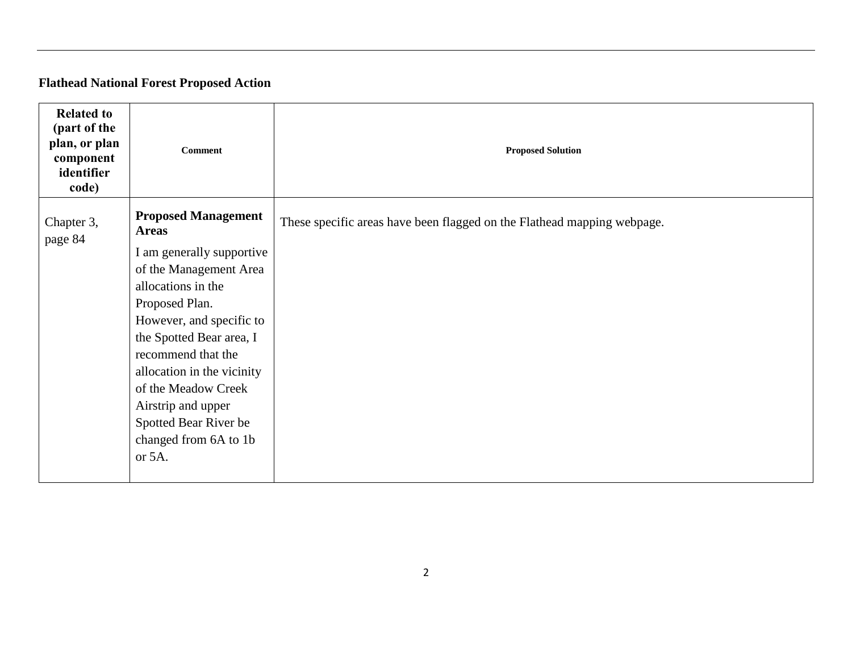# **Flathead National Forest Proposed Action**

<span id="page-1-0"></span>

| <b>Related to</b><br>(part of the<br>plan, or plan<br>component<br>identifier<br>code) | <b>Comment</b>                                                                                                                                                                                                                                                                                                   | <b>Proposed Solution</b>                                                |
|----------------------------------------------------------------------------------------|------------------------------------------------------------------------------------------------------------------------------------------------------------------------------------------------------------------------------------------------------------------------------------------------------------------|-------------------------------------------------------------------------|
| Chapter 3,<br>page 84                                                                  | <b>Proposed Management</b><br><b>Areas</b>                                                                                                                                                                                                                                                                       | These specific areas have been flagged on the Flathead mapping webpage. |
|                                                                                        | I am generally supportive<br>of the Management Area<br>allocations in the<br>Proposed Plan.<br>However, and specific to<br>the Spotted Bear area, I<br>recommend that the<br>allocation in the vicinity<br>of the Meadow Creek<br>Airstrip and upper<br>Spotted Bear River be<br>changed from 6A to 1b<br>or 5A. |                                                                         |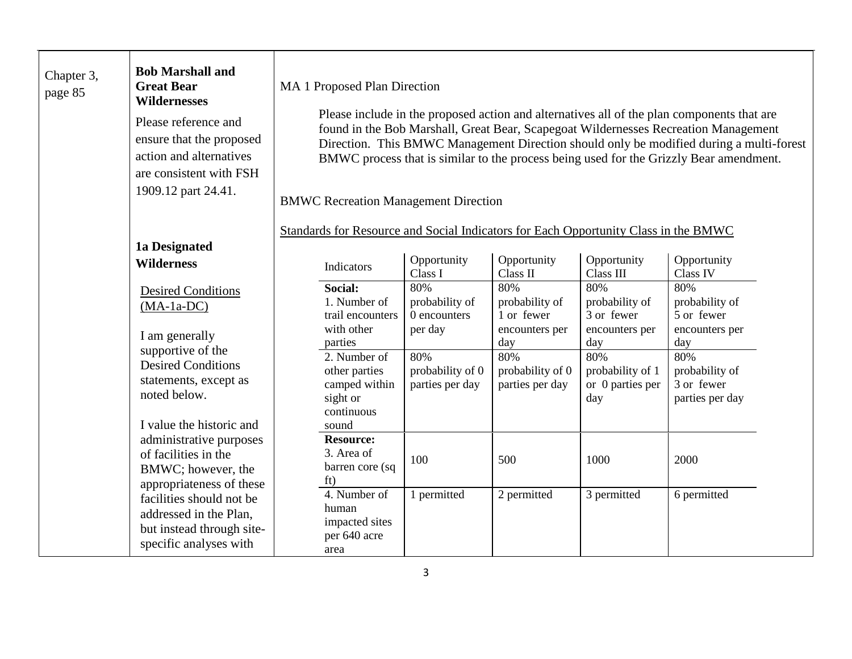<span id="page-2-0"></span>

| Chapter 3,<br>page 85                                                                                     | <b>Bob Marshall and</b><br><b>Great Bear</b><br><b>Wildernesses</b><br>Please reference and<br>ensure that the proposed<br>action and alternatives<br>are consistent with FSH<br>1909.12 part 24.41. | MA 1 Proposed Plan Direction<br>Please include in the proposed action and alternatives all of the plan components that are<br>found in the Bob Marshall, Great Bear, Scapegoat Wildernesses Recreation Management<br>Direction. This BMWC Management Direction should only be modified during a multi-forest<br>BMWC process that is similar to the process being used for the Grizzly Bear amendment.<br><b>BMWC Recreation Management Direction</b> |                                                                          |                                            |                                            |                                                                                     |                                                        |
|-----------------------------------------------------------------------------------------------------------|------------------------------------------------------------------------------------------------------------------------------------------------------------------------------------------------------|-------------------------------------------------------------------------------------------------------------------------------------------------------------------------------------------------------------------------------------------------------------------------------------------------------------------------------------------------------------------------------------------------------------------------------------------------------|--------------------------------------------------------------------------|--------------------------------------------|--------------------------------------------|-------------------------------------------------------------------------------------|--------------------------------------------------------|
|                                                                                                           | 1a Designated                                                                                                                                                                                        |                                                                                                                                                                                                                                                                                                                                                                                                                                                       |                                                                          |                                            |                                            | Standards for Resource and Social Indicators for Each Opportunity Class in the BMWC |                                                        |
|                                                                                                           | <b>Wilderness</b>                                                                                                                                                                                    |                                                                                                                                                                                                                                                                                                                                                                                                                                                       | Indicators                                                               | Opportunity<br>Class I                     | Opportunity<br>Class II                    | Opportunity<br>Class III                                                            | Opportunity<br>Class IV                                |
|                                                                                                           | <b>Desired Conditions</b><br>$(MA-1a-DC)$<br>I am generally<br>supportive of the<br><b>Desired Conditions</b><br>statements, except as<br>noted below.                                               |                                                                                                                                                                                                                                                                                                                                                                                                                                                       | Social:<br>1. Number of<br>trail encounters                              | 80%<br>probability of<br>0 encounters      | 80%<br>probability of<br>1 or fewer        | 80%<br>probability of<br>3 or fewer                                                 | 80%<br>probability of<br>5 or fewer                    |
|                                                                                                           |                                                                                                                                                                                                      |                                                                                                                                                                                                                                                                                                                                                                                                                                                       | with other<br>parties                                                    | per day                                    | encounters per<br>day                      | encounters per<br>day                                                               | encounters per<br>day                                  |
|                                                                                                           |                                                                                                                                                                                                      |                                                                                                                                                                                                                                                                                                                                                                                                                                                       | 2. Number of<br>other parties<br>camped within<br>sight or<br>continuous | 80%<br>probability of 0<br>parties per day | 80%<br>probability of 0<br>parties per day | 80%<br>probability of 1<br>or 0 parties per<br>day                                  | 80%<br>probability of<br>3 or fewer<br>parties per day |
|                                                                                                           | I value the historic and                                                                                                                                                                             |                                                                                                                                                                                                                                                                                                                                                                                                                                                       | sound                                                                    |                                            |                                            |                                                                                     |                                                        |
|                                                                                                           | administrative purposes<br>of facilities in the<br>BMWC; however, the<br>appropriateness of these                                                                                                    |                                                                                                                                                                                                                                                                                                                                                                                                                                                       | <b>Resource:</b><br>3. Area of<br>barren core (sq<br>ft)                 | 100                                        | 500                                        | 1000                                                                                | 2000                                                   |
| facilities should not be<br>addressed in the Plan,<br>but instead through site-<br>specific analyses with |                                                                                                                                                                                                      | 4. Number of<br>human<br>impacted sites<br>per 640 acre<br>area                                                                                                                                                                                                                                                                                                                                                                                       | 1 permitted                                                              | 2 permitted                                | 3 permitted                                | 6 permitted                                                                         |                                                        |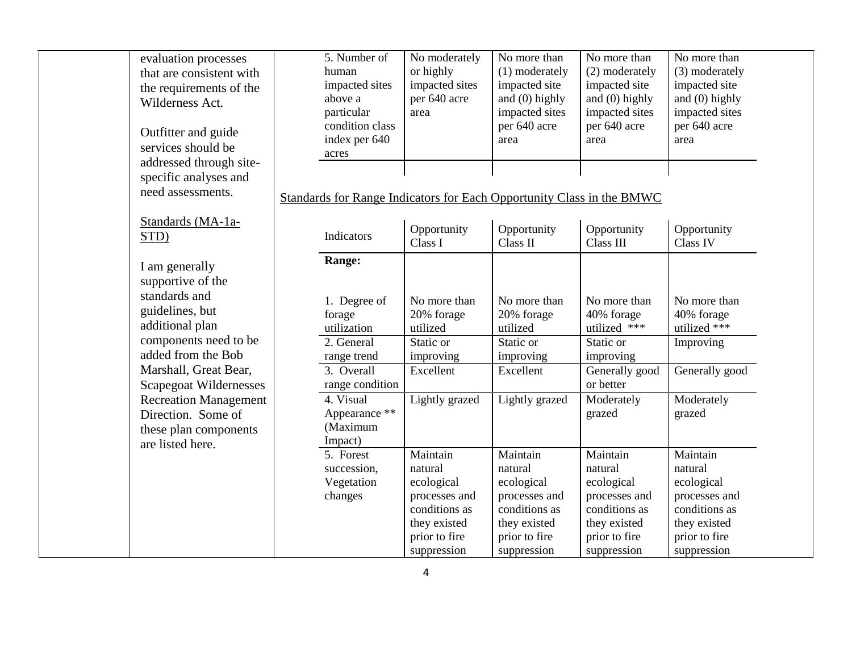| evaluation processes     |
|--------------------------|
| that are consistent with |
| the requirements of the  |
| Wilderness Act.          |

Outfitter and guide services should be addressed through sitespecific analyses and need assessments.

### Standards (MA-1a-STD)

I am generally supportive of the standards and guidelines, but additional plan components need to be added from the Bob Marshall, Great Bear, Scapegoat Wildernesses Recreation Management Direction. Some of these plan components are listed here.

| 5. Number of    | No moderately  | No more than     | No more than     | No more than     |
|-----------------|----------------|------------------|------------------|------------------|
| human           | or highly      | (1) moderately   | (2) moderately   | (3) moderately   |
| impacted sites  | impacted sites | impacted site    | impacted site    | impacted site    |
| above a         | per 640 acre   | and $(0)$ highly | and $(0)$ highly | and $(0)$ highly |
| particular      | area           | impacted sites   | impacted sites   | impacted sites   |
| condition class |                | per 640 acre     | per 640 acre     | per 640 acre     |
| index per 640   |                | area             | area             | area             |
| acres           |                |                  |                  |                  |
|                 |                |                  |                  |                  |
|                 |                |                  |                  |                  |

### Standards for Range Indicators for Each Opportunity Class in the BMWC

| Indicators      | Opportunity<br>Class I | Opportunity<br>Class II | Opportunity<br>Class III | Opportunity<br>Class IV |
|-----------------|------------------------|-------------------------|--------------------------|-------------------------|
| Range:          |                        |                         |                          |                         |
|                 |                        |                         |                          |                         |
| 1. Degree of    | No more than           | No more than            | No more than             | No more than            |
| forage          | 20% forage             | 20% forage              | 40% forage               | 40% forage              |
| utilization     | utilized               | utilized                | utilized ***             | utilized ***            |
| 2. General      | Static or              | Static or               | Static or                | Improving               |
| range trend     | improving              | improving               | improving                |                         |
| 3. Overall      | Excellent              | Excellent               | Generally good           | Generally good          |
| range condition |                        |                         | or better                |                         |
| 4. Visual       | Lightly grazed         | Lightly grazed          | Moderately               | Moderately              |
| Appearance **   |                        |                         | grazed                   | grazed                  |
| (Maximum        |                        |                         |                          |                         |
| Impact)         |                        |                         |                          |                         |
| 5. Forest       | Maintain               | Maintain                | Maintain                 | Maintain                |
| succession,     | natural                | natural                 | natural                  | natural                 |
| Vegetation      | ecological             | ecological              | ecological               | ecological              |
| changes         | processes and          | processes and           | processes and            | processes and           |
|                 | conditions as          | conditions as           | conditions as            | conditions as           |
|                 | they existed           | they existed            | they existed             | they existed            |
|                 | prior to fire          | prior to fire           | prior to fire            | prior to fire           |
|                 | suppression            | suppression             | suppression              | suppression             |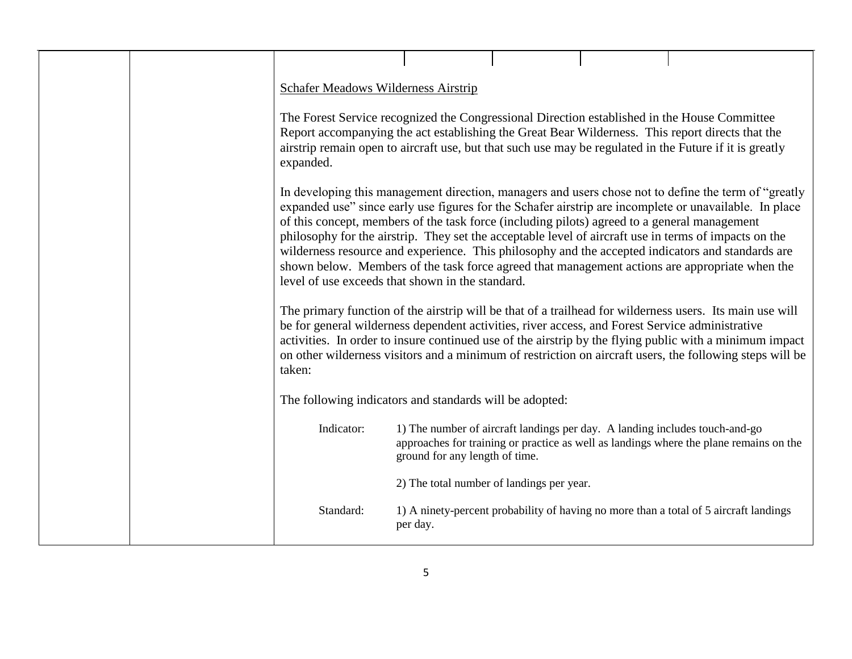|  | <b>Schafer Meadows Wilderness Airstrip</b>                                                                                                                                                                                                                                                                               |                                           |  |                                                                                                                                                                                                                                                                                                                                                                                                                        |
|--|--------------------------------------------------------------------------------------------------------------------------------------------------------------------------------------------------------------------------------------------------------------------------------------------------------------------------|-------------------------------------------|--|------------------------------------------------------------------------------------------------------------------------------------------------------------------------------------------------------------------------------------------------------------------------------------------------------------------------------------------------------------------------------------------------------------------------|
|  | The Forest Service recognized the Congressional Direction established in the House Committee<br>Report accompanying the act establishing the Great Bear Wilderness. This report directs that the<br>airstrip remain open to aircraft use, but that such use may be regulated in the Future if it is greatly<br>expanded. |                                           |  |                                                                                                                                                                                                                                                                                                                                                                                                                        |
|  | of this concept, members of the task force (including pilots) agreed to a general management<br>philosophy for the airstrip. They set the acceptable level of aircraft use in terms of impacts on the<br>level of use exceeds that shown in the standard.                                                                |                                           |  | In developing this management direction, managers and users chose not to define the term of "greatly"<br>expanded use" since early use figures for the Schafer airstrip are incomplete or unavailable. In place<br>wilderness resource and experience. This philosophy and the accepted indicators and standards are<br>shown below. Members of the task force agreed that management actions are appropriate when the |
|  | be for general wilderness dependent activities, river access, and Forest Service administrative<br>taken:                                                                                                                                                                                                                |                                           |  | The primary function of the airstrip will be that of a trailhead for wilderness users. Its main use will<br>activities. In order to insure continued use of the airstrip by the flying public with a minimum impact<br>on other wilderness visitors and a minimum of restriction on aircraft users, the following steps will be                                                                                        |
|  | The following indicators and standards will be adopted:                                                                                                                                                                                                                                                                  |                                           |  |                                                                                                                                                                                                                                                                                                                                                                                                                        |
|  | Indicator:                                                                                                                                                                                                                                                                                                               | ground for any length of time.            |  | 1) The number of aircraft landings per day. A landing includes touch-and-go<br>approaches for training or practice as well as landings where the plane remains on the                                                                                                                                                                                                                                                  |
|  |                                                                                                                                                                                                                                                                                                                          | 2) The total number of landings per year. |  |                                                                                                                                                                                                                                                                                                                                                                                                                        |
|  | Standard:                                                                                                                                                                                                                                                                                                                | per day.                                  |  | 1) A ninety-percent probability of having no more than a total of 5 aircraft landings                                                                                                                                                                                                                                                                                                                                  |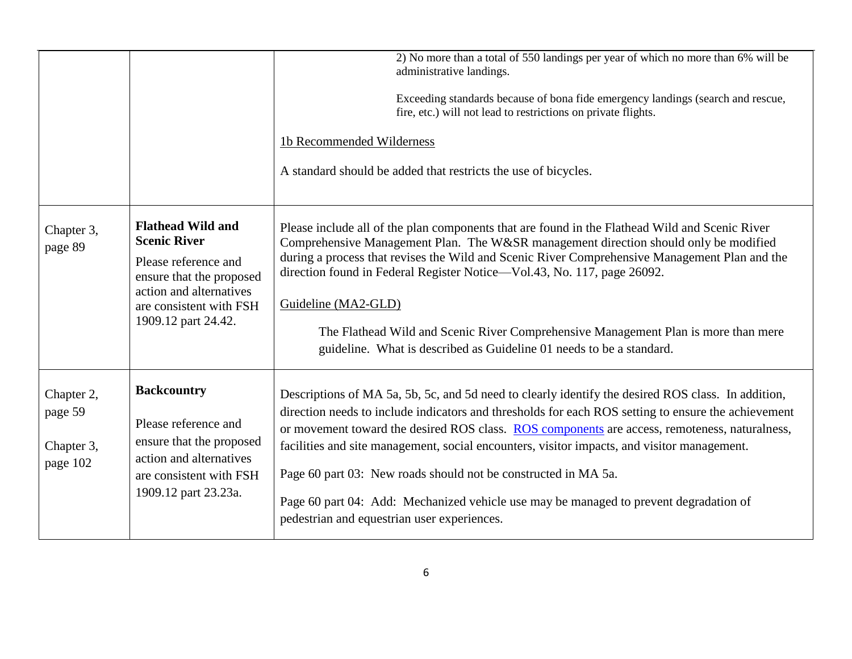<span id="page-5-1"></span><span id="page-5-0"></span>

|                                                 |                                                                                                                                                           | 2) No more than a total of 550 landings per year of which no more than 6% will be<br>administrative landings.<br>Exceeding standards because of bona fide emergency landings (search and rescue,<br>fire, etc.) will not lead to restrictions on private flights.                                                                                                                                                                                                                                                                                                    |
|-------------------------------------------------|-----------------------------------------------------------------------------------------------------------------------------------------------------------|----------------------------------------------------------------------------------------------------------------------------------------------------------------------------------------------------------------------------------------------------------------------------------------------------------------------------------------------------------------------------------------------------------------------------------------------------------------------------------------------------------------------------------------------------------------------|
|                                                 |                                                                                                                                                           | 1b Recommended Wilderness                                                                                                                                                                                                                                                                                                                                                                                                                                                                                                                                            |
|                                                 |                                                                                                                                                           | A standard should be added that restricts the use of bicycles.                                                                                                                                                                                                                                                                                                                                                                                                                                                                                                       |
| Chapter 3,<br>page 89                           | <b>Flathead Wild and</b><br><b>Scenic River</b><br>Please reference and<br>ensure that the proposed<br>action and alternatives<br>are consistent with FSH | Please include all of the plan components that are found in the Flathead Wild and Scenic River<br>Comprehensive Management Plan. The W&SR management direction should only be modified<br>during a process that revises the Wild and Scenic River Comprehensive Management Plan and the<br>direction found in Federal Register Notice—Vol.43, No. 117, page 26092.<br>Guideline (MA2-GLD)                                                                                                                                                                            |
|                                                 | 1909.12 part 24.42.                                                                                                                                       | The Flathead Wild and Scenic River Comprehensive Management Plan is more than mere<br>guideline. What is described as Guideline 01 needs to be a standard.                                                                                                                                                                                                                                                                                                                                                                                                           |
| Chapter 2,<br>page 59<br>Chapter 3,<br>page 102 | <b>Backcountry</b><br>Please reference and<br>ensure that the proposed<br>action and alternatives<br>are consistent with FSH<br>1909.12 part 23.23a.      | Descriptions of MA 5a, 5b, 5c, and 5d need to clearly identify the desired ROS class. In addition,<br>direction needs to include indicators and thresholds for each ROS setting to ensure the achievement<br>or movement toward the desired ROS class. ROS components are access, remoteness, naturalness,<br>facilities and site management, social encounters, visitor impacts, and visitor management.<br>Page 60 part 03: New roads should not be constructed in MA 5a.<br>Page 60 part 04: Add: Mechanized vehicle use may be managed to prevent degradation of |
|                                                 |                                                                                                                                                           | pedestrian and equestrian user experiences.                                                                                                                                                                                                                                                                                                                                                                                                                                                                                                                          |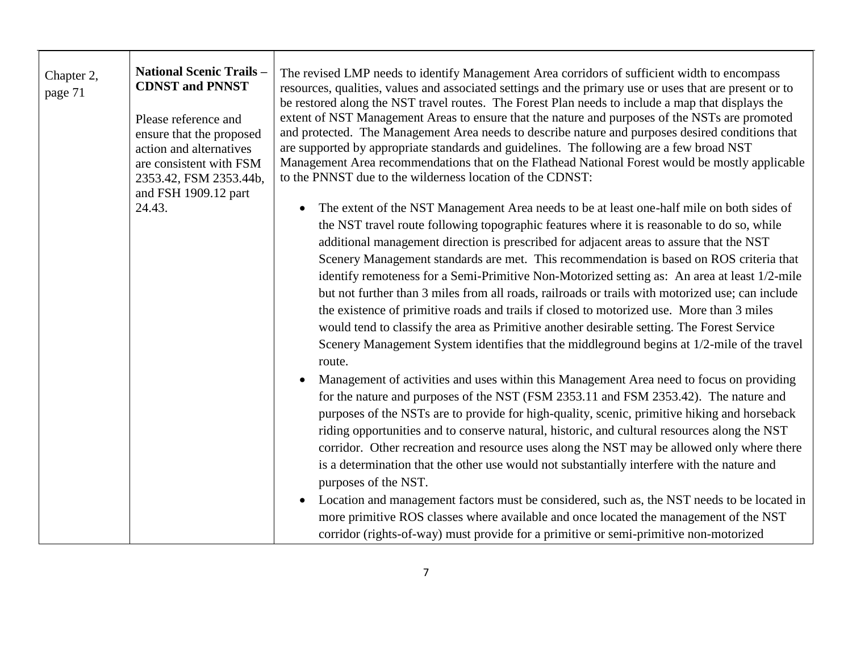<span id="page-6-0"></span>

| Chapter 2,<br>page 71 | <b>National Scenic Trails -</b><br><b>CDNST and PNNST</b><br>Please reference and<br>ensure that the proposed<br>action and alternatives<br>are consistent with FSM<br>2353.42, FSM 2353.44b,<br>and FSH 1909.12 part | The revised LMP needs to identify Management Area corridors of sufficient width to encompass<br>resources, qualities, values and associated settings and the primary use or uses that are present or to<br>be restored along the NST travel routes. The Forest Plan needs to include a map that displays the<br>extent of NST Management Areas to ensure that the nature and purposes of the NSTs are promoted<br>and protected. The Management Area needs to describe nature and purposes desired conditions that<br>are supported by appropriate standards and guidelines. The following are a few broad NST<br>Management Area recommendations that on the Flathead National Forest would be mostly applicable<br>to the PNNST due to the wilderness location of the CDNST:                                                                                                                      |
|-----------------------|-----------------------------------------------------------------------------------------------------------------------------------------------------------------------------------------------------------------------|-----------------------------------------------------------------------------------------------------------------------------------------------------------------------------------------------------------------------------------------------------------------------------------------------------------------------------------------------------------------------------------------------------------------------------------------------------------------------------------------------------------------------------------------------------------------------------------------------------------------------------------------------------------------------------------------------------------------------------------------------------------------------------------------------------------------------------------------------------------------------------------------------------|
|                       | 24.43.                                                                                                                                                                                                                | The extent of the NST Management Area needs to be at least one-half mile on both sides of<br>$\bullet$<br>the NST travel route following topographic features where it is reasonable to do so, while<br>additional management direction is prescribed for adjacent areas to assure that the NST<br>Scenery Management standards are met. This recommendation is based on ROS criteria that<br>identify remoteness for a Semi-Primitive Non-Motorized setting as: An area at least 1/2-mile<br>but not further than 3 miles from all roads, railroads or trails with motorized use; can include<br>the existence of primitive roads and trails if closed to motorized use. More than 3 miles<br>would tend to classify the area as Primitive another desirable setting. The Forest Service<br>Scenery Management System identifies that the middleground begins at 1/2-mile of the travel<br>route.  |
|                       |                                                                                                                                                                                                                       | Management of activities and uses within this Management Area need to focus on providing<br>for the nature and purposes of the NST (FSM 2353.11 and FSM 2353.42). The nature and<br>purposes of the NSTs are to provide for high-quality, scenic, primitive hiking and horseback<br>riding opportunities and to conserve natural, historic, and cultural resources along the NST<br>corridor. Other recreation and resource uses along the NST may be allowed only where there<br>is a determination that the other use would not substantially interfere with the nature and<br>purposes of the NST.<br>Location and management factors must be considered, such as, the NST needs to be located in<br>$\bullet$<br>more primitive ROS classes where available and once located the management of the NST<br>corridor (rights-of-way) must provide for a primitive or semi-primitive non-motorized |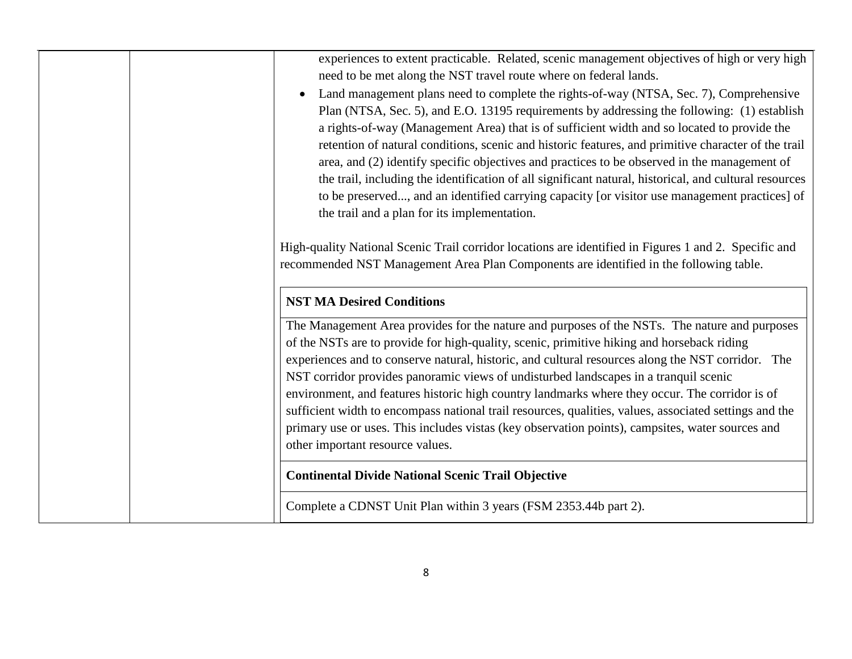| experiences to extent practicable. Related, scenic management objectives of high or very high<br>need to be met along the NST travel route where on federal lands.<br>Land management plans need to complete the rights-of-way (NTSA, Sec. 7), Comprehensive<br>$\bullet$<br>Plan (NTSA, Sec. 5), and E.O. 13195 requirements by addressing the following: (1) establish<br>a rights-of-way (Management Area) that is of sufficient width and so located to provide the<br>retention of natural conditions, scenic and historic features, and primitive character of the trail<br>area, and (2) identify specific objectives and practices to be observed in the management of<br>the trail, including the identification of all significant natural, historical, and cultural resources<br>to be preserved, and an identified carrying capacity [or visitor use management practices] of<br>the trail and a plan for its implementation. |
|-------------------------------------------------------------------------------------------------------------------------------------------------------------------------------------------------------------------------------------------------------------------------------------------------------------------------------------------------------------------------------------------------------------------------------------------------------------------------------------------------------------------------------------------------------------------------------------------------------------------------------------------------------------------------------------------------------------------------------------------------------------------------------------------------------------------------------------------------------------------------------------------------------------------------------------------|
| High-quality National Scenic Trail corridor locations are identified in Figures 1 and 2. Specific and<br>recommended NST Management Area Plan Components are identified in the following table.                                                                                                                                                                                                                                                                                                                                                                                                                                                                                                                                                                                                                                                                                                                                           |
| <b>NST MA Desired Conditions</b>                                                                                                                                                                                                                                                                                                                                                                                                                                                                                                                                                                                                                                                                                                                                                                                                                                                                                                          |
| The Management Area provides for the nature and purposes of the NSTs. The nature and purposes<br>of the NSTs are to provide for high-quality, scenic, primitive hiking and horseback riding<br>experiences and to conserve natural, historic, and cultural resources along the NST corridor. The<br>NST corridor provides panoramic views of undisturbed landscapes in a tranquil scenic<br>environment, and features historic high country landmarks where they occur. The corridor is of<br>sufficient width to encompass national trail resources, qualities, values, associated settings and the<br>primary use or uses. This includes vistas (key observation points), campsites, water sources and<br>other important resource values.                                                                                                                                                                                              |
| <b>Continental Divide National Scenic Trail Objective</b>                                                                                                                                                                                                                                                                                                                                                                                                                                                                                                                                                                                                                                                                                                                                                                                                                                                                                 |
| Complete a CDNST Unit Plan within 3 years (FSM 2353.44b part 2).                                                                                                                                                                                                                                                                                                                                                                                                                                                                                                                                                                                                                                                                                                                                                                                                                                                                          |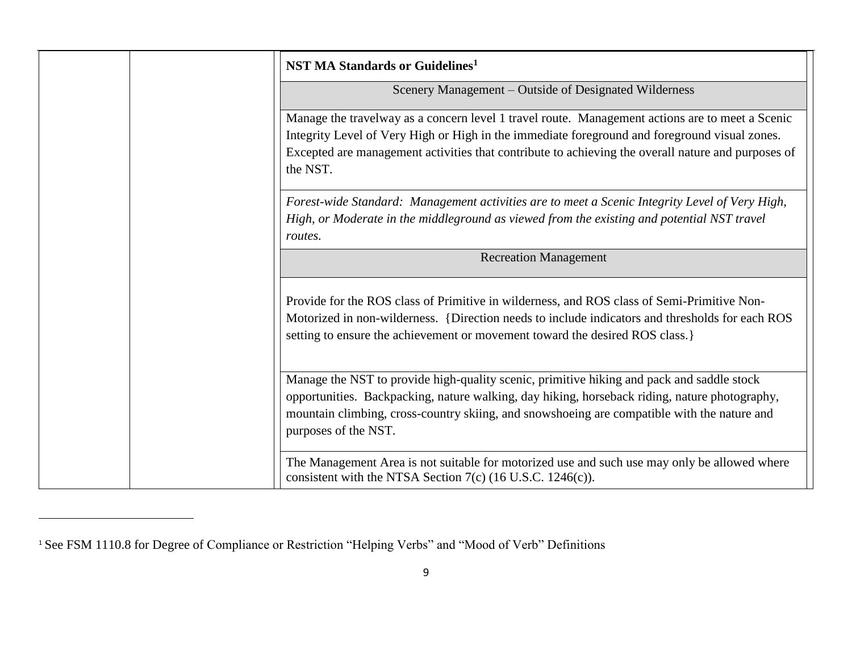| <b>NST MA Standards or Guidelines<sup>1</sup></b>                                                                                                                                                                                                                                                                  |
|--------------------------------------------------------------------------------------------------------------------------------------------------------------------------------------------------------------------------------------------------------------------------------------------------------------------|
| Scenery Management – Outside of Designated Wilderness                                                                                                                                                                                                                                                              |
| Manage the travelway as a concern level 1 travel route. Management actions are to meet a Scenic<br>Integrity Level of Very High or High in the immediate foreground and foreground visual zones.<br>Excepted are management activities that contribute to achieving the overall nature and purposes of<br>the NST. |
| Forest-wide Standard: Management activities are to meet a Scenic Integrity Level of Very High,<br>High, or Moderate in the middleground as viewed from the existing and potential NST travel<br>routes.                                                                                                            |
| <b>Recreation Management</b>                                                                                                                                                                                                                                                                                       |
| Provide for the ROS class of Primitive in wilderness, and ROS class of Semi-Primitive Non-<br>Motorized in non-wilderness. {Direction needs to include indicators and thresholds for each ROS<br>setting to ensure the achievement or movement toward the desired ROS class.                                       |
| Manage the NST to provide high-quality scenic, primitive hiking and pack and saddle stock<br>opportunities. Backpacking, nature walking, day hiking, horseback riding, nature photography,<br>mountain climbing, cross-country skiing, and snowshoeing are compatible with the nature and<br>purposes of the NST.  |
| The Management Area is not suitable for motorized use and such use may only be allowed where<br>consistent with the NTSA Section $7(c)$ (16 U.S.C. 1246(c)).                                                                                                                                                       |

 $\overline{\phantom{a}}$ 

<sup>1</sup> See FSM 1110.8 for Degree of Compliance or Restriction "Helping Verbs" and "Mood of Verb" Definitions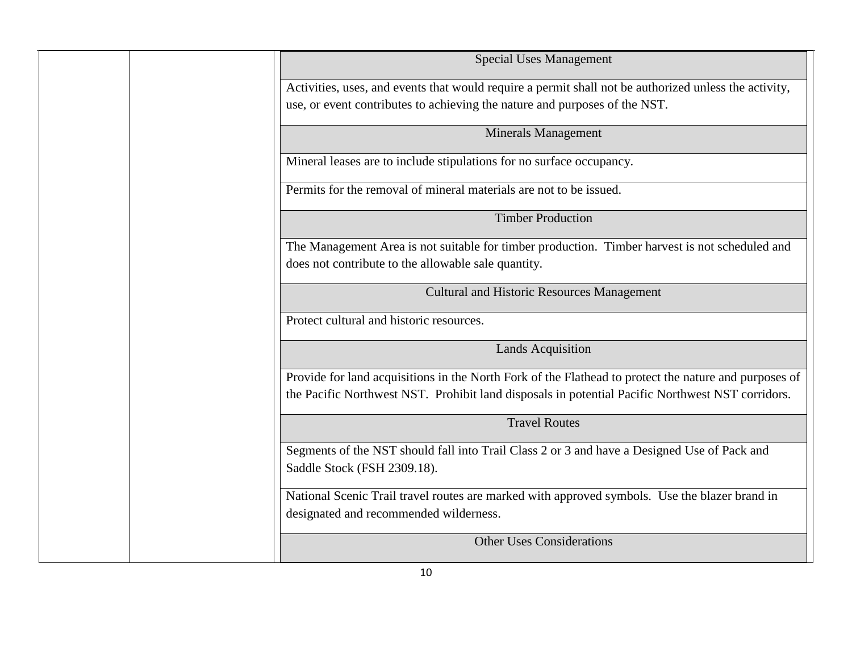| <b>Special Uses Management</b>                                                                                                                                                                            |
|-----------------------------------------------------------------------------------------------------------------------------------------------------------------------------------------------------------|
| Activities, uses, and events that would require a permit shall not be authorized unless the activity,<br>use, or event contributes to achieving the nature and purposes of the NST.                       |
| <b>Minerals Management</b>                                                                                                                                                                                |
| Mineral leases are to include stipulations for no surface occupancy.                                                                                                                                      |
| Permits for the removal of mineral materials are not to be issued.                                                                                                                                        |
| <b>Timber Production</b>                                                                                                                                                                                  |
| The Management Area is not suitable for timber production. Timber harvest is not scheduled and<br>does not contribute to the allowable sale quantity.                                                     |
| <b>Cultural and Historic Resources Management</b>                                                                                                                                                         |
| Protect cultural and historic resources.                                                                                                                                                                  |
| <b>Lands Acquisition</b>                                                                                                                                                                                  |
| Provide for land acquisitions in the North Fork of the Flathead to protect the nature and purposes of<br>the Pacific Northwest NST. Prohibit land disposals in potential Pacific Northwest NST corridors. |
| <b>Travel Routes</b>                                                                                                                                                                                      |
| Segments of the NST should fall into Trail Class 2 or 3 and have a Designed Use of Pack and<br>Saddle Stock (FSH 2309.18).                                                                                |
| National Scenic Trail travel routes are marked with approved symbols. Use the blazer brand in<br>designated and recommended wilderness.                                                                   |
| <b>Other Uses Considerations</b>                                                                                                                                                                          |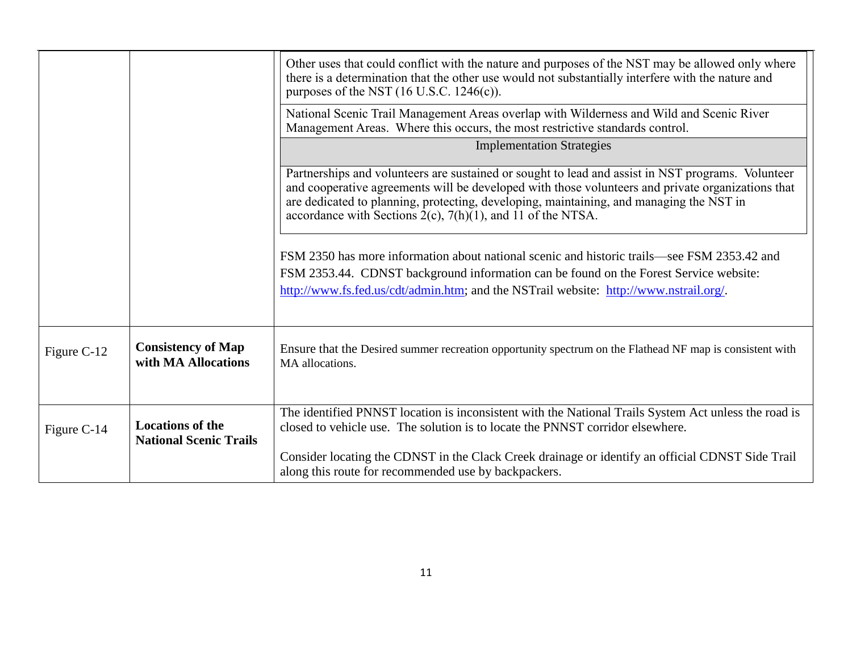|             |                                                          | Other uses that could conflict with the nature and purposes of the NST may be allowed only where<br>there is a determination that the other use would not substantially interfere with the nature and<br>purposes of the NST $(16 \text{ U.S.C. } 1246(c))$ .                                                                                                          |
|-------------|----------------------------------------------------------|------------------------------------------------------------------------------------------------------------------------------------------------------------------------------------------------------------------------------------------------------------------------------------------------------------------------------------------------------------------------|
|             |                                                          | National Scenic Trail Management Areas overlap with Wilderness and Wild and Scenic River<br>Management Areas. Where this occurs, the most restrictive standards control.                                                                                                                                                                                               |
|             |                                                          | <b>Implementation Strategies</b>                                                                                                                                                                                                                                                                                                                                       |
|             |                                                          | Partnerships and volunteers are sustained or sought to lead and assist in NST programs. Volunteer<br>and cooperative agreements will be developed with those volunteers and private organizations that<br>are dedicated to planning, protecting, developing, maintaining, and managing the NST in<br>accordance with Sections $2(c)$ , $7(h)(1)$ , and 11 of the NTSA. |
|             |                                                          | FSM 2350 has more information about national scenic and historic trails—see FSM 2353.42 and<br>FSM 2353.44. CDNST background information can be found on the Forest Service website:<br>http://www.fs.fed.us/cdt/admin.htm; and the NSTrail website: http://www.nstrail.org/.                                                                                          |
| Figure C-12 | <b>Consistency of Map</b><br>with MA Allocations         | Ensure that the Desired summer recreation opportunity spectrum on the Flathead NF map is consistent with<br>MA allocations.                                                                                                                                                                                                                                            |
| Figure C-14 | <b>Locations of the</b><br><b>National Scenic Trails</b> | The identified PNNST location is inconsistent with the National Trails System Act unless the road is<br>closed to vehicle use. The solution is to locate the PNNST corridor elsewhere.                                                                                                                                                                                 |
|             |                                                          | Consider locating the CDNST in the Clack Creek drainage or identify an official CDNST Side Trail<br>along this route for recommended use by backpackers.                                                                                                                                                                                                               |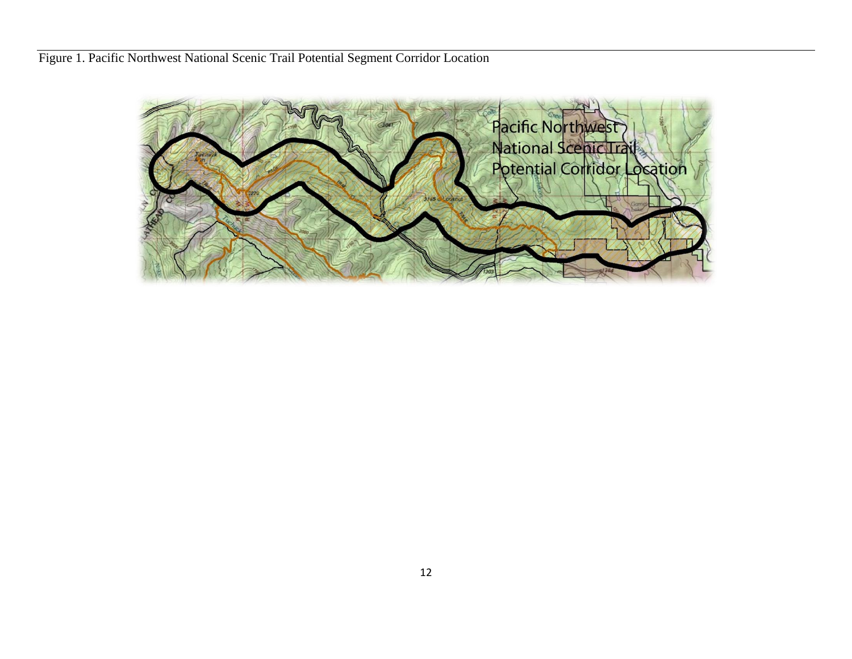Figure 1. Pacific Northwest National Scenic Trail Potential Segment Corridor Location